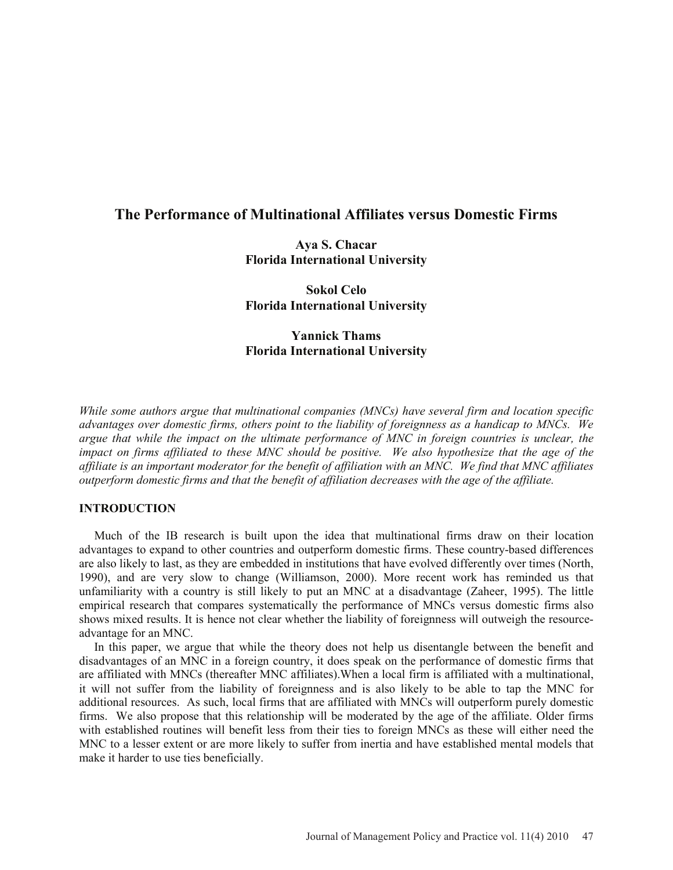# **The Performance of Multinational Affiliates versus Domestic Firms**

**Aya S. Chacar Florida International University** 

**Sokol Celo Florida International University** 

# **Yannick Thams Florida International University**

*While some authors argue that multinational companies (MNCs) have several firm and location specific advantages over domestic firms, others point to the liability of foreignness as a handicap to MNCs. We argue that while the impact on the ultimate performance of MNC in foreign countries is unclear, the impact on firms affiliated to these MNC should be positive. We also hypothesize that the age of the affiliate is an important moderator for the benefit of affiliation with an MNC. We find that MNC affiliates outperform domestic firms and that the benefit of affiliation decreases with the age of the affiliate.*

### **INTRODUCTION**

Much of the IB research is built upon the idea that multinational firms draw on their location advantages to expand to other countries and outperform domestic firms. These country-based differences are also likely to last, as they are embedded in institutions that have evolved differently over times (North, 1990), and are very slow to change (Williamson, 2000). More recent work has reminded us that unfamiliarity with a country is still likely to put an MNC at a disadvantage (Zaheer, 1995). The little empirical research that compares systematically the performance of MNCs versus domestic firms also shows mixed results. It is hence not clear whether the liability of foreignness will outweigh the resourceadvantage for an MNC.

In this paper, we argue that while the theory does not help us disentangle between the benefit and disadvantages of an MNC in a foreign country, it does speak on the performance of domestic firms that are affiliated with MNCs (thereafter MNC affiliates).When a local firm is affiliated with a multinational, it will not suffer from the liability of foreignness and is also likely to be able to tap the MNC for additional resources. As such, local firms that are affiliated with MNCs will outperform purely domestic firms. We also propose that this relationship will be moderated by the age of the affiliate. Older firms with established routines will benefit less from their ties to foreign MNCs as these will either need the MNC to a lesser extent or are more likely to suffer from inertia and have established mental models that make it harder to use ties beneficially.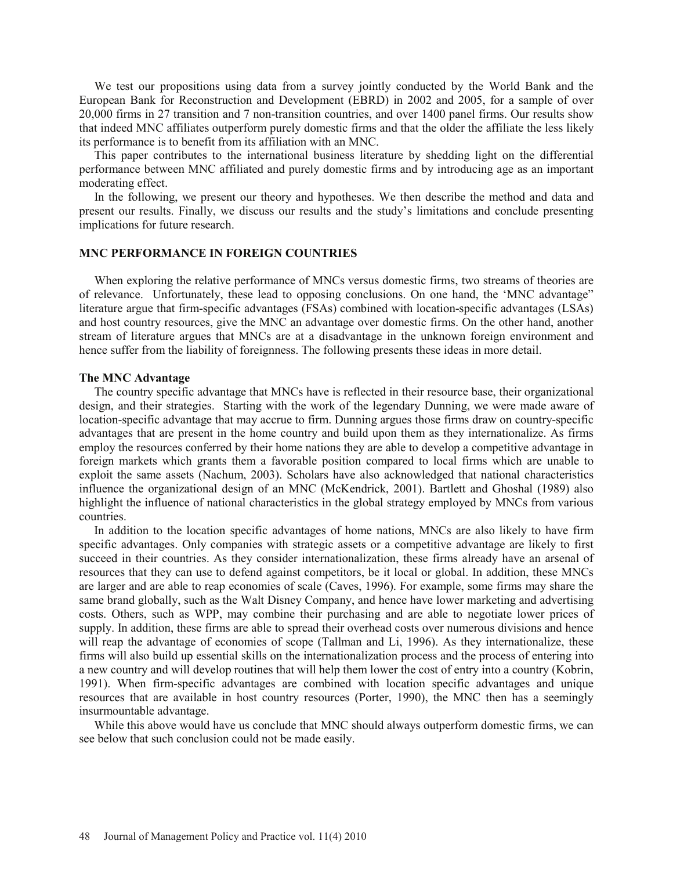We test our propositions using data from a survey jointly conducted by the World Bank and the European Bank for Reconstruction and Development (EBRD) in 2002 and 2005, for a sample of over 20,000 firms in 27 transition and 7 non-transition countries, and over 1400 panel firms. Our results show that indeed MNC affiliates outperform purely domestic firms and that the older the affiliate the less likely its performance is to benefit from its affiliation with an MNC.

This paper contributes to the international business literature by shedding light on the differential performance between MNC affiliated and purely domestic firms and by introducing age as an important moderating effect.

In the following, we present our theory and hypotheses. We then describe the method and data and present our results. Finally, we discuss our results and the study's limitations and conclude presenting implications for future research.

### **MNC PERFORMANCE IN FOREIGN COUNTRIES**

When exploring the relative performance of MNCs versus domestic firms, two streams of theories are of relevance. Unfortunately, these lead to opposing conclusions. On one hand, the 'MNC advantage" literature argue that firm-specific advantages (FSAs) combined with location-specific advantages (LSAs) and host country resources, give the MNC an advantage over domestic firms. On the other hand, another stream of literature argues that MNCs are at a disadvantage in the unknown foreign environment and hence suffer from the liability of foreignness. The following presents these ideas in more detail.

#### **The MNC Advantage**

The country specific advantage that MNCs have is reflected in their resource base, their organizational design, and their strategies. Starting with the work of the legendary Dunning, we were made aware of location-specific advantage that may accrue to firm. Dunning argues those firms draw on country-specific advantages that are present in the home country and build upon them as they internationalize. As firms employ the resources conferred by their home nations they are able to develop a competitive advantage in foreign markets which grants them a favorable position compared to local firms which are unable to exploit the same assets (Nachum, 2003). Scholars have also acknowledged that national characteristics influence the organizational design of an MNC (McKendrick, 2001). Bartlett and Ghoshal (1989) also highlight the influence of national characteristics in the global strategy employed by MNCs from various countries.

In addition to the location specific advantages of home nations, MNCs are also likely to have firm specific advantages. Only companies with strategic assets or a competitive advantage are likely to first succeed in their countries. As they consider internationalization, these firms already have an arsenal of resources that they can use to defend against competitors, be it local or global. In addition, these MNCs are larger and are able to reap economies of scale (Caves, 1996). For example, some firms may share the same brand globally, such as the Walt Disney Company, and hence have lower marketing and advertising costs. Others, such as WPP, may combine their purchasing and are able to negotiate lower prices of supply. In addition, these firms are able to spread their overhead costs over numerous divisions and hence will reap the advantage of economies of scope (Tallman and Li, 1996). As they internationalize, these firms will also build up essential skills on the internationalization process and the process of entering into a new country and will develop routines that will help them lower the cost of entry into a country (Kobrin, 1991). When firm-specific advantages are combined with location specific advantages and unique resources that are available in host country resources (Porter, 1990), the MNC then has a seemingly insurmountable advantage.

While this above would have us conclude that MNC should always outperform domestic firms, we can see below that such conclusion could not be made easily.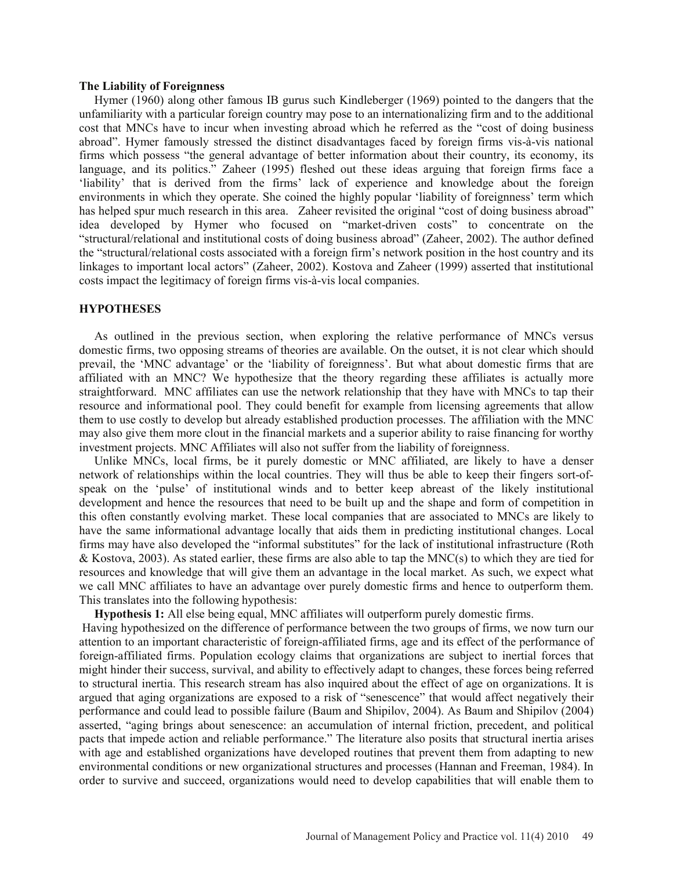#### **The Liability of Foreignness**

Hymer (1960) along other famous IB gurus such Kindleberger (1969) pointed to the dangers that the unfamiliarity with a particular foreign country may pose to an internationalizing firm and to the additional cost that MNCs have to incur when investing abroad which he referred as the "cost of doing business abroad". Hymer famously stressed the distinct disadvantages faced by foreign firms vis-à-vis national firms which possess "the general advantage of better information about their country, its economy, its language, and its politics." Zaheer (1995) fleshed out these ideas arguing that foreign firms face a 'liability' that is derived from the firms' lack of experience and knowledge about the foreign environments in which they operate. She coined the highly popular 'liability of foreignness' term which has helped spur much research in this area. Zaheer revisited the original "cost of doing business abroad" idea developed by Hymer who focused on "market-driven costs" to concentrate on the "structural/relational and institutional costs of doing business abroad" (Zaheer, 2002). The author defined the "structural/relational costs associated with a foreign firm's network position in the host country and its linkages to important local actors" (Zaheer, 2002). Kostova and Zaheer (1999) asserted that institutional costs impact the legitimacy of foreign firms vis-à-vis local companies.

### **HYPOTHESES**

As outlined in the previous section, when exploring the relative performance of MNCs versus domestic firms, two opposing streams of theories are available. On the outset, it is not clear which should prevail, the 'MNC advantage' or the 'liability of foreignness'. But what about domestic firms that are affiliated with an MNC? We hypothesize that the theory regarding these affiliates is actually more straightforward. MNC affiliates can use the network relationship that they have with MNCs to tap their resource and informational pool. They could benefit for example from licensing agreements that allow them to use costly to develop but already established production processes. The affiliation with the MNC may also give them more clout in the financial markets and a superior ability to raise financing for worthy investment projects. MNC Affiliates will also not suffer from the liability of foreignness.

Unlike MNCs, local firms, be it purely domestic or MNC affiliated, are likely to have a denser network of relationships within the local countries. They will thus be able to keep their fingers sort-ofspeak on the 'pulse' of institutional winds and to better keep abreast of the likely institutional development and hence the resources that need to be built up and the shape and form of competition in this often constantly evolving market. These local companies that are associated to MNCs are likely to have the same informational advantage locally that aids them in predicting institutional changes. Local firms may have also developed the "informal substitutes" for the lack of institutional infrastructure (Roth & Kostova, 2003). As stated earlier, these firms are also able to tap the MNC(s) to which they are tied for resources and knowledge that will give them an advantage in the local market. As such, we expect what we call MNC affiliates to have an advantage over purely domestic firms and hence to outperform them. This translates into the following hypothesis:

**Hypothesis 1:** All else being equal, MNC affiliates will outperform purely domestic firms. Having hypothesized on the difference of performance between the two groups of firms, we now turn our attention to an important characteristic of foreign-affiliated firms, age and its effect of the performance of foreign-affiliated firms. Population ecology claims that organizations are subject to inertial forces that might hinder their success, survival, and ability to effectively adapt to changes, these forces being referred to structural inertia. This research stream has also inquired about the effect of age on organizations. It is argued that aging organizations are exposed to a risk of "senescence" that would affect negatively their performance and could lead to possible failure (Baum and Shipilov, 2004). As Baum and Shipilov (2004) asserted, "aging brings about senescence: an accumulation of internal friction, precedent, and political pacts that impede action and reliable performance." The literature also posits that structural inertia arises with age and established organizations have developed routines that prevent them from adapting to new environmental conditions or new organizational structures and processes (Hannan and Freeman, 1984). In order to survive and succeed, organizations would need to develop capabilities that will enable them to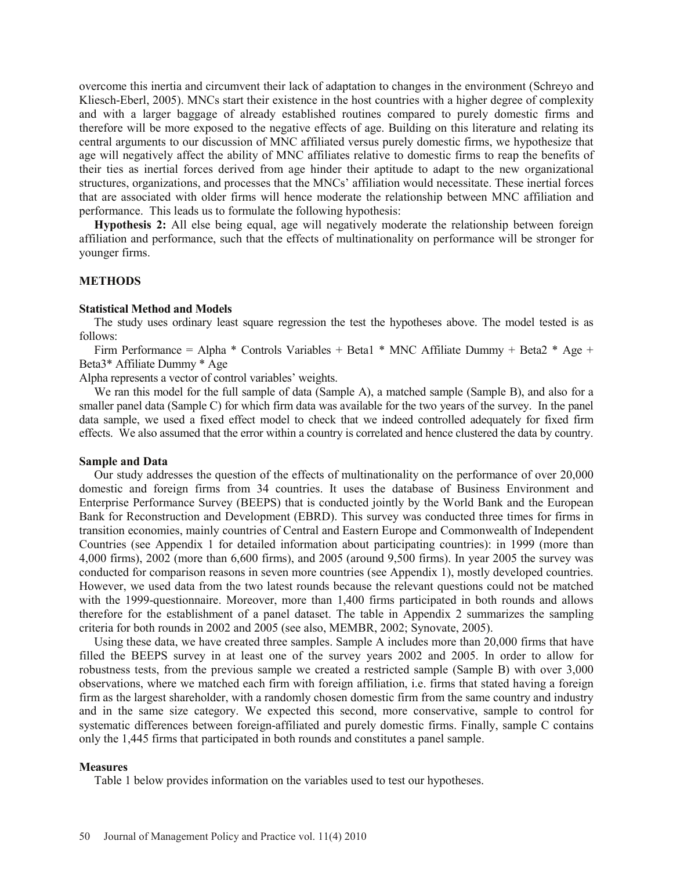overcome this inertia and circumvent their lack of adaptation to changes in the environment (Schreyo and Kliesch-Eberl, 2005). MNCs start their existence in the host countries with a higher degree of complexity and with a larger baggage of already established routines compared to purely domestic firms and therefore will be more exposed to the negative effects of age. Building on this literature and relating its central arguments to our discussion of MNC affiliated versus purely domestic firms, we hypothesize that age will negatively affect the ability of MNC affiliates relative to domestic firms to reap the benefits of their ties as inertial forces derived from age hinder their aptitude to adapt to the new organizational structures, organizations, and processes that the MNCs' affiliation would necessitate. These inertial forces that are associated with older firms will hence moderate the relationship between MNC affiliation and performance. This leads us to formulate the following hypothesis:

**Hypothesis 2:** All else being equal, age will negatively moderate the relationship between foreign affiliation and performance, such that the effects of multinationality on performance will be stronger for younger firms.

#### **METHODS**

#### **Statistical Method and Models**

The study uses ordinary least square regression the test the hypotheses above. The model tested is as follows:

Firm Performance = Alpha \* Controls Variables + Beta1 \* MNC Affiliate Dummy + Beta2 \* Age + Beta3\* Affiliate Dummy \* Age

Alpha represents a vector of control variables' weights.

We ran this model for the full sample of data (Sample A), a matched sample (Sample B), and also for a smaller panel data (Sample C) for which firm data was available for the two years of the survey. In the panel data sample, we used a fixed effect model to check that we indeed controlled adequately for fixed firm effects. We also assumed that the error within a country is correlated and hence clustered the data by country.

#### **Sample and Data**

Our study addresses the question of the effects of multinationality on the performance of over 20,000 domestic and foreign firms from 34 countries. It uses the database of Business Environment and Enterprise Performance Survey (BEEPS) that is conducted jointly by the World Bank and the European Bank for Reconstruction and Development (EBRD). This survey was conducted three times for firms in transition economies, mainly countries of Central and Eastern Europe and Commonwealth of Independent Countries (see Appendix 1 for detailed information about participating countries): in 1999 (more than 4,000 firms), 2002 (more than 6,600 firms), and 2005 (around 9,500 firms). In year 2005 the survey was conducted for comparison reasons in seven more countries (see Appendix 1), mostly developed countries. However, we used data from the two latest rounds because the relevant questions could not be matched with the 1999-questionnaire. Moreover, more than 1,400 firms participated in both rounds and allows therefore for the establishment of a panel dataset. The table in Appendix 2 summarizes the sampling criteria for both rounds in 2002 and 2005 (see also, MEMBR, 2002; Synovate, 2005).

Using these data, we have created three samples. Sample A includes more than 20,000 firms that have filled the BEEPS survey in at least one of the survey years 2002 and 2005. In order to allow for robustness tests, from the previous sample we created a restricted sample (Sample B) with over 3,000 observations, where we matched each firm with foreign affiliation, i.e. firms that stated having a foreign firm as the largest shareholder, with a randomly chosen domestic firm from the same country and industry and in the same size category. We expected this second, more conservative, sample to control for systematic differences between foreign-affiliated and purely domestic firms. Finally, sample C contains only the 1,445 firms that participated in both rounds and constitutes a panel sample.

#### **Measures**

Table 1 below provides information on the variables used to test our hypotheses.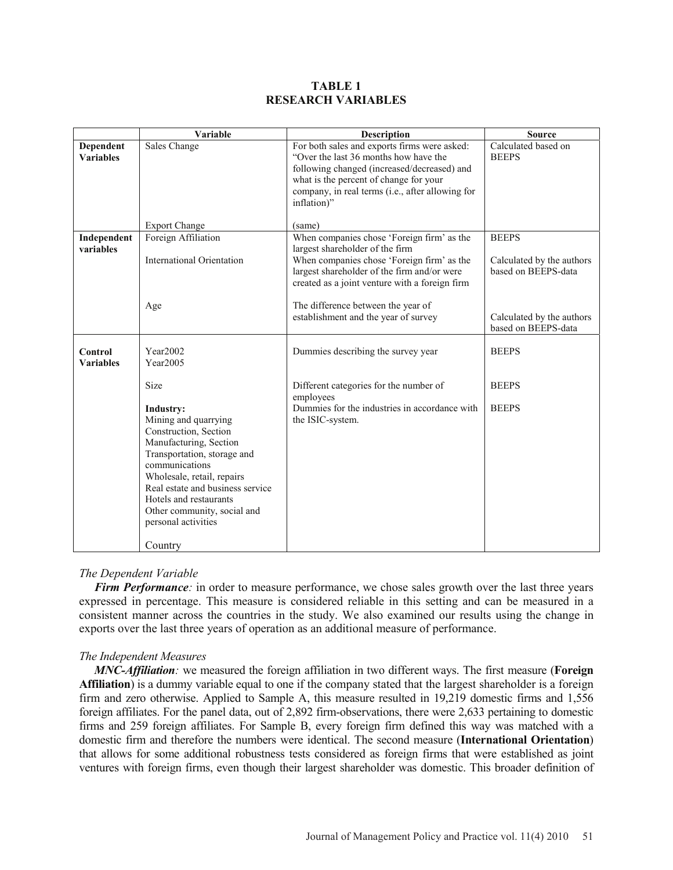### **TABLE 1 RESEARCH VARIABLES**

|                                    | Variable                                                                                                                                                                                                                                                                                                  | Description                                                                                                                                                                                                                                       | <b>Source</b>                                                    |
|------------------------------------|-----------------------------------------------------------------------------------------------------------------------------------------------------------------------------------------------------------------------------------------------------------------------------------------------------------|---------------------------------------------------------------------------------------------------------------------------------------------------------------------------------------------------------------------------------------------------|------------------------------------------------------------------|
| Dependent<br><b>Variables</b>      | Sales Change                                                                                                                                                                                                                                                                                              | For both sales and exports firms were asked:<br>"Over the last 36 months how have the<br>following changed (increased/decreased) and<br>what is the percent of change for your<br>company, in real terms (i.e., after allowing for<br>inflation)" | Calculated based on<br><b>BEEPS</b>                              |
|                                    | <b>Export Change</b>                                                                                                                                                                                                                                                                                      | (same)                                                                                                                                                                                                                                            |                                                                  |
| Independent<br>variables           | Foreign Affiliation<br><b>International Orientation</b>                                                                                                                                                                                                                                                   | When companies chose 'Foreign firm' as the<br>largest shareholder of the firm<br>When companies chose 'Foreign firm' as the<br>largest shareholder of the firm and/or were<br>created as a joint venture with a foreign firm                      | <b>BEEPS</b><br>Calculated by the authors<br>based on BEEPS-data |
|                                    | Age                                                                                                                                                                                                                                                                                                       | The difference between the year of<br>establishment and the year of survey                                                                                                                                                                        | Calculated by the authors<br>based on BEEPS-data                 |
| <b>Control</b><br><b>Variables</b> | Year2002<br>Year2005                                                                                                                                                                                                                                                                                      | Dummies describing the survey year                                                                                                                                                                                                                | <b>BEEPS</b>                                                     |
|                                    | Size                                                                                                                                                                                                                                                                                                      | Different categories for the number of<br>employees                                                                                                                                                                                               | <b>BEEPS</b>                                                     |
|                                    | <b>Industry:</b><br>Mining and quarrying<br>Construction, Section<br>Manufacturing, Section<br>Transportation, storage and<br>communications<br>Wholesale, retail, repairs<br>Real estate and business service<br>Hotels and restaurants<br>Other community, social and<br>personal activities<br>Country | Dummies for the industries in accordance with<br>the ISIC-system.                                                                                                                                                                                 | <b>BEEPS</b>                                                     |

## *The Dependent Variable*

*Firm Performance*: in order to measure performance, we chose sales growth over the last three years expressed in percentage. This measure is considered reliable in this setting and can be measured in a consistent manner across the countries in the study. We also examined our results using the change in exports over the last three years of operation as an additional measure of performance.

## *The Independent Measures*

*MNC-Affiliation:* we measured the foreign affiliation in two different ways. The first measure (**Foreign Affiliation**) is a dummy variable equal to one if the company stated that the largest shareholder is a foreign firm and zero otherwise. Applied to Sample A, this measure resulted in 19,219 domestic firms and 1,556 foreign affiliates. For the panel data, out of 2,892 firm-observations, there were 2,633 pertaining to domestic firms and 259 foreign affiliates. For Sample B, every foreign firm defined this way was matched with a domestic firm and therefore the numbers were identical. The second measure (**International Orientation**) that allows for some additional robustness tests considered as foreign firms that were established as joint ventures with foreign firms, even though their largest shareholder was domestic. This broader definition of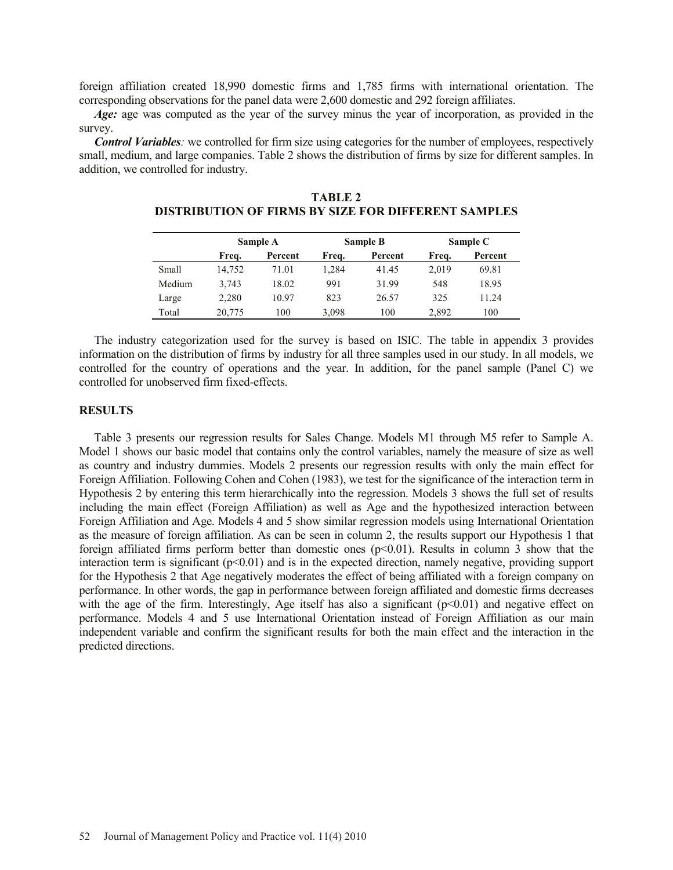foreign affiliation created 18,990 domestic firms and 1,785 firms with international orientation. The corresponding observations for the panel data were 2,600 domestic and 292 foreign affiliates.

*Age:* age was computed as the year of the survey minus the year of incorporation, as provided in the survey.

*Control Variables:* we controlled for firm size using categories for the number of employees, respectively small, medium, and large companies. Table 2 shows the distribution of firms by size for different samples. In addition, we controlled for industry.

|        |        | Sample A |       | Sample B | Sample C |         |  |  |
|--------|--------|----------|-------|----------|----------|---------|--|--|
|        | Freq.  | Percent  | Frea. | Percent  | Frea.    | Percent |  |  |
| Small  | 14,752 | 71.01    | 1.284 | 41.45    | 2,019    | 69.81   |  |  |
| Medium | 3,743  | 18.02    | 991   | 31.99    | 548      | 18.95   |  |  |
| Large  | 2,280  | 10.97    | 823   | 26.57    | 325      | 11 24   |  |  |
| Total  | 20,775 | 100      | 3,098 | 100      | 2,892    | 100     |  |  |

**TABLE 2 DISTRIBUTION OF FIRMS BY SIZE FOR DIFFERENT SAMPLES**

The industry categorization used for the survey is based on ISIC. The table in appendix 3 provides information on the distribution of firms by industry for all three samples used in our study. In all models, we controlled for the country of operations and the year. In addition, for the panel sample (Panel C) we controlled for unobserved firm fixed-effects.

### **RESULTS**

Table 3 presents our regression results for Sales Change. Models M1 through M5 refer to Sample A. Model 1 shows our basic model that contains only the control variables, namely the measure of size as well as country and industry dummies. Models 2 presents our regression results with only the main effect for Foreign Affiliation. Following Cohen and Cohen (1983), we test for the significance of the interaction term in Hypothesis 2 by entering this term hierarchically into the regression. Models 3 shows the full set of results including the main effect (Foreign Affiliation) as well as Age and the hypothesized interaction between Foreign Affiliation and Age. Models 4 and 5 show similar regression models using International Orientation as the measure of foreign affiliation. As can be seen in column 2, the results support our Hypothesis 1 that foreign affiliated firms perform better than domestic ones  $(p<0.01)$ . Results in column 3 show that the interaction term is significant  $(p<0.01)$  and is in the expected direction, namely negative, providing support for the Hypothesis 2 that Age negatively moderates the effect of being affiliated with a foreign company on performance. In other words, the gap in performance between foreign affiliated and domestic firms decreases with the age of the firm. Interestingly, Age itself has also a significant  $(p<0.01)$  and negative effect on performance. Models 4 and 5 use International Orientation instead of Foreign Affiliation as our main independent variable and confirm the significant results for both the main effect and the interaction in the predicted directions.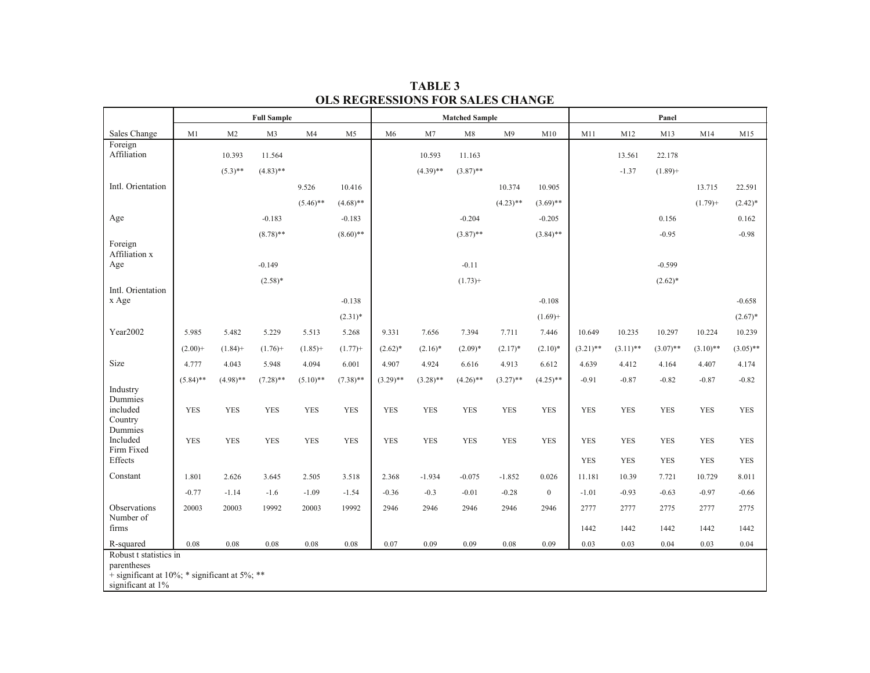|                                                                  | <b>Full Sample</b> |                |             |             |                | <b>Matched Sample</b> |             |             |                |                  | Panel       |             |             |             |             |
|------------------------------------------------------------------|--------------------|----------------|-------------|-------------|----------------|-----------------------|-------------|-------------|----------------|------------------|-------------|-------------|-------------|-------------|-------------|
| Sales Change                                                     | M1                 | M <sub>2</sub> | M3          | M4          | M <sub>5</sub> | M <sub>6</sub>        | M7          | M8          | M <sub>9</sub> | M10              | M11         | M12         | M13         | M14         | M15         |
| Foreign<br>Affiliation                                           |                    |                |             |             |                |                       |             |             |                |                  |             |             |             |             |             |
|                                                                  |                    | 10.393         | 11.564      |             |                |                       | 10.593      | 11.163      |                |                  |             | 13.561      | 22.178      |             |             |
|                                                                  |                    | $(5.3)$ **     | $(4.83)$ ** |             |                |                       | $(4.39)$ ** | $(3.87)$ ** |                |                  |             | $-1.37$     | $(1.89) +$  |             |             |
| Intl. Orientation                                                |                    |                |             | 9.526       | 10.416         |                       |             |             | 10.374         | 10.905           |             |             |             | 13.715      | 22.591      |
|                                                                  |                    |                |             | $(5.46)$ ** | $(4.68)$ **    |                       |             |             | $(4.23)$ **    | $(3.69)$ **      |             |             |             | $(1.79) +$  | $(2.42)*$   |
| Age                                                              |                    |                | $-0.183$    |             | $-0.183$       |                       |             | $-0.204$    |                | $-0.205$         |             |             | 0.156       |             | 0.162       |
| Foreign                                                          |                    |                | $(8.78)$ ** |             | $(8.60)$ **    |                       |             | $(3.87)$ ** |                | $(3.84)$ **      |             |             | $-0.95$     |             | $-0.98$     |
| Affiliation x                                                    |                    |                |             |             |                |                       |             |             |                |                  |             |             |             |             |             |
| Age                                                              |                    |                | $-0.149$    |             |                |                       |             | $-0.11$     |                |                  |             |             | $-0.599$    |             |             |
| Intl. Orientation                                                |                    |                | $(2.58)*$   |             |                |                       |             | $(1.73) +$  |                |                  |             |             | $(2.62)*$   |             |             |
| x Age                                                            |                    |                |             |             | $-0.138$       |                       |             |             |                | $-0.108$         |             |             |             |             | $-0.658$    |
|                                                                  |                    |                |             |             | $(2.31)^*$     |                       |             |             |                | $(1.69) +$       |             |             |             |             | $(2.67)^*$  |
| Year2002                                                         | 5.985              | 5.482          | 5.229       | 5.513       | 5.268          | 9.331                 | 7.656       | 7.394       | 7.711          | 7.446            | 10.649      | 10.235      | 10.297      | 10.224      | 10.239      |
|                                                                  | $(2.00) +$         | $(1.84) +$     | $(1.76) +$  | $(1.85) +$  | $(1.77) +$     | $(2.62)*$             | $(2.16)^*$  | $(2.09)*$   | $(2.17)^*$     | $(2.10)*$        | $(3.21)$ ** | $(3.11)$ ** | $(3.07)$ ** | $(3.10)$ ** | $(3.05)$ ** |
| Size                                                             | 4.777              | 4.043          | 5.948       | 4.094       | 6.001          | 4.907                 | 4.924       | 6.616       | 4.913          | 6.612            | 4.639       | 4.412       | 4.164       | 4.407       | 4.174       |
|                                                                  |                    |                |             |             |                |                       |             |             |                |                  |             |             |             |             |             |
| Industry                                                         | $(5.84)$ **        | $(4.98)$ **    | $(7.28)$ ** | $(5.10)$ ** | $(7.38)$ **    | $(3.29)$ **           | $(3.28)$ ** | $(4.26)$ ** | $(3.27)$ **    | $(4.25)$ **      | $-0.91$     | $-0.87$     | $-0.82$     | $-0.87$     | $-0.82$     |
| Dummies<br>included                                              |                    |                | <b>YES</b>  | <b>YES</b>  |                |                       | <b>YES</b>  | <b>YES</b>  | <b>YES</b>     |                  |             | <b>YES</b>  |             |             |             |
| Country                                                          | <b>YES</b>         | <b>YES</b>     |             |             | <b>YES</b>     | <b>YES</b>            |             |             |                | <b>YES</b>       | <b>YES</b>  |             | <b>YES</b>  | <b>YES</b>  | <b>YES</b>  |
| Dummies<br>Included                                              |                    |                |             |             |                |                       |             |             |                |                  |             |             |             |             |             |
| Firm Fixed                                                       | <b>YES</b>         | <b>YES</b>     | ${\rm YES}$ | <b>YES</b>  | <b>YES</b>     | <b>YES</b>            | <b>YES</b>  | ${\rm YES}$ | <b>YES</b>     | <b>YES</b>       | <b>YES</b>  | <b>YES</b>  | <b>YES</b>  | <b>YES</b>  | <b>YES</b>  |
| Effects                                                          |                    |                |             |             |                |                       |             |             |                |                  | <b>YES</b>  | <b>YES</b>  | <b>YES</b>  | <b>YES</b>  | <b>YES</b>  |
| Constant                                                         | 1.801              | 2.626          | 3.645       | 2.505       | 3.518          | 2.368                 | $-1.934$    | $-0.075$    | $-1.852$       | 0.026            | 11.181      | 10.39       | 7.721       | 10.729      | 8.011       |
|                                                                  | $-0.77$            | $-1.14$        | $-1.6$      | $-1.09$     | $-1.54$        | $-0.36$               | $-0.3$      | $-0.01$     | $-0.28$        | $\boldsymbol{0}$ | $-1.01$     | $-0.93$     | $-0.63$     | $-0.97$     | $-0.66$     |
| Observations                                                     | 20003              | 20003          | 19992       | 20003       | 19992          | 2946                  | 2946        | 2946        | 2946           | 2946             | 2777        | 2777        | 2775        | 2777        | 2775        |
| Number of<br>firms                                               |                    |                |             |             |                |                       |             |             |                |                  | 1442        | 1442        | 1442        | 1442        | 1442        |
| R-squared                                                        | 0.08               | 0.08           | 0.08        | 0.08        | 0.08           | 0.07                  | 0.09        | 0.09        | 0.08           | 0.09             | 0.03        | 0.03        | 0.04        | 0.03        | 0.04        |
| Robust t statistics in                                           |                    |                |             |             |                |                       |             |             |                |                  |             |             |             |             |             |
| parentheses<br>+ significant at 10%; $*$ significant at 5%; $**$ |                    |                |             |             |                |                       |             |             |                |                  |             |             |             |             |             |
| significant at 1%                                                |                    |                |             |             |                |                       |             |             |                |                  |             |             |             |             |             |

**TABLE 3 OLS REGRESSIONS FOR SALES CHANGE**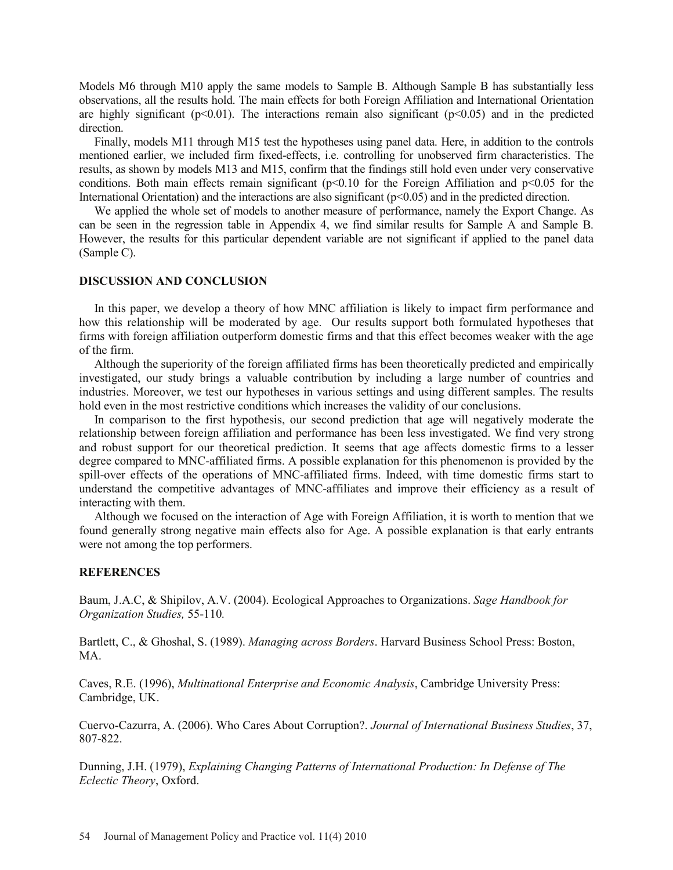Models M6 through M10 apply the same models to Sample B. Although Sample B has substantially less observations, all the results hold. The main effects for both Foreign Affiliation and International Orientation are highly significant ( $p<0.01$ ). The interactions remain also significant ( $p<0.05$ ) and in the predicted direction.

Finally, models M11 through M15 test the hypotheses using panel data. Here, in addition to the controls mentioned earlier, we included firm fixed-effects, i.e. controlling for unobserved firm characteristics. The results, as shown by models M13 and M15, confirm that the findings still hold even under very conservative conditions. Both main effects remain significant ( $p<0.10$  for the Foreign Affiliation and  $p<0.05$  for the International Orientation) and the interactions are also significant (p<0.05) and in the predicted direction.

We applied the whole set of models to another measure of performance, namely the Export Change. As can be seen in the regression table in Appendix 4, we find similar results for Sample A and Sample B. However, the results for this particular dependent variable are not significant if applied to the panel data (Sample C).

#### **DISCUSSION AND CONCLUSION**

In this paper, we develop a theory of how MNC affiliation is likely to impact firm performance and how this relationship will be moderated by age. Our results support both formulated hypotheses that firms with foreign affiliation outperform domestic firms and that this effect becomes weaker with the age of the firm.

Although the superiority of the foreign affiliated firms has been theoretically predicted and empirically investigated, our study brings a valuable contribution by including a large number of countries and industries. Moreover, we test our hypotheses in various settings and using different samples. The results hold even in the most restrictive conditions which increases the validity of our conclusions.

In comparison to the first hypothesis, our second prediction that age will negatively moderate the relationship between foreign affiliation and performance has been less investigated. We find very strong and robust support for our theoretical prediction. It seems that age affects domestic firms to a lesser degree compared to MNC-affiliated firms. A possible explanation for this phenomenon is provided by the spill-over effects of the operations of MNC-affiliated firms. Indeed, with time domestic firms start to understand the competitive advantages of MNC-affiliates and improve their efficiency as a result of interacting with them.

Although we focused on the interaction of Age with Foreign Affiliation, it is worth to mention that we found generally strong negative main effects also for Age. A possible explanation is that early entrants were not among the top performers.

#### **REFERENCES**

Baum, J.A.C, & Shipilov, A.V. (2004). Ecological Approaches to Organizations. *Sage Handbook for Organization Studies,* 55-110*.*

Bartlett, C., & Ghoshal, S. (1989). *Managing across Borders*. Harvard Business School Press: Boston, MA.

Caves, R.E. (1996), *Multinational Enterprise and Economic Analysis*, Cambridge University Press: Cambridge, UK.

Cuervo-Cazurra, A. (2006). Who Cares About Corruption?. *Journal of International Business Studies*, 37, 807-822.

Dunning, J.H. (1979), *Explaining Changing Patterns of International Production: In Defense of The Eclectic Theory*, Oxford.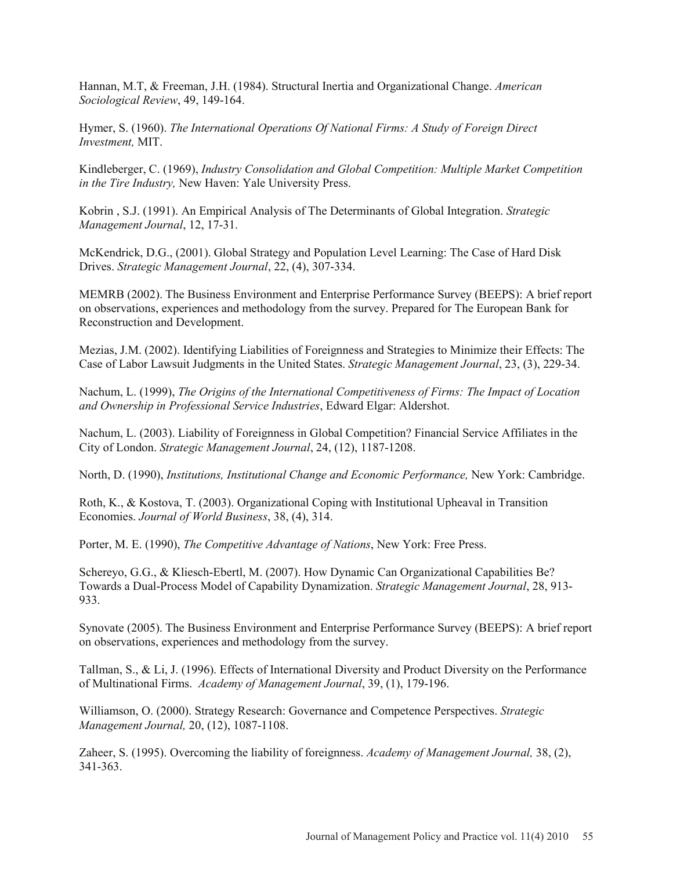Hannan, M.T, & Freeman, J.H. (1984). Structural Inertia and Organizational Change. *American Sociological Review*, 49, 149-164.

Hymer, S. (1960). *The International Operations Of National Firms: A Study of Foreign Direct Investment,* MIT.

Kindleberger, C. (1969), *Industry Consolidation and Global Competition: Multiple Market Competition in the Tire Industry,* New Haven: Yale University Press.

Kobrin , S.J. (1991). An Empirical Analysis of The Determinants of Global Integration. *Strategic Management Journal*, 12, 17-31.

McKendrick, D.G., (2001). Global Strategy and Population Level Learning: The Case of Hard Disk Drives. *Strategic Management Journal*, 22, (4), 307-334.

MEMRB (2002). The Business Environment and Enterprise Performance Survey (BEEPS): A brief report on observations, experiences and methodology from the survey. Prepared for The European Bank for Reconstruction and Development.

Mezias, J.M. (2002). Identifying Liabilities of Foreignness and Strategies to Minimize their Effects: The Case of Labor Lawsuit Judgments in the United States. *Strategic Management Journal*, 23, (3), 229-34.

Nachum, L. (1999), *The Origins of the International Competitiveness of Firms: The Impact of Location and Ownership in Professional Service Industries*, Edward Elgar: Aldershot.

Nachum, L. (2003). Liability of Foreignness in Global Competition? Financial Service Affiliates in the City of London. *Strategic Management Journal*, 24, (12), 1187-1208.

North, D. (1990), *Institutions, Institutional Change and Economic Performance,* New York: Cambridge.

Roth, K., & Kostova, T. (2003). Organizational Coping with Institutional Upheaval in Transition Economies. *Journal of World Business*, 38, (4), 314.

Porter, M. E. (1990), *The Competitive Advantage of Nations*, New York: Free Press.

Schereyo, G.G., & Kliesch-Ebertl, M. (2007). How Dynamic Can Organizational Capabilities Be? Towards a Dual-Process Model of Capability Dynamization. *Strategic Management Journal*, 28, 913- 933.

Synovate (2005). The Business Environment and Enterprise Performance Survey (BEEPS): A brief report on observations, experiences and methodology from the survey.

Tallman, S., & Li, J. (1996). Effects of International Diversity and Product Diversity on the Performance of Multinational Firms. *Academy of Management Journal*, 39, (1), 179-196.

Williamson, O. (2000). Strategy Research: Governance and Competence Perspectives. *Strategic Management Journal,* 20, (12), 1087-1108.

Zaheer, S. (1995). Overcoming the liability of foreignness. *Academy of Management Journal,* 38, (2), 341-363.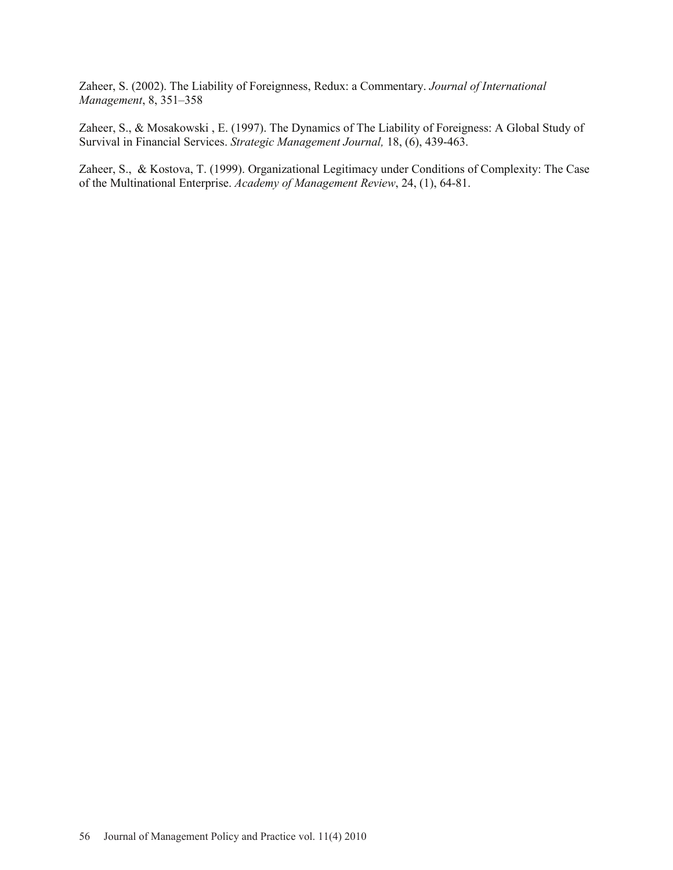Zaheer, S. (2002). The Liability of Foreignness, Redux: a Commentary. *Journal of International Management*, 8, 351–358

Zaheer, S., & Mosakowski , E. (1997). The Dynamics of The Liability of Foreigness: A Global Study of Survival in Financial Services. *Strategic Management Journal,* 18, (6), 439-463.

Zaheer, S., & Kostova, T. (1999). Organizational Legitimacy under Conditions of Complexity: The Case of the Multinational Enterprise. *Academy of Management Review*, 24, (1), 64-81.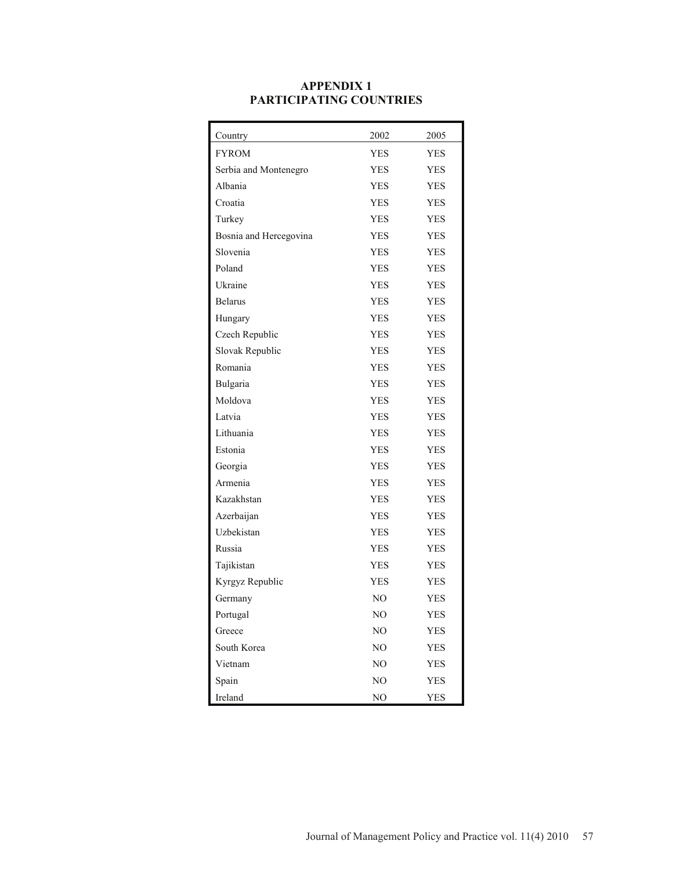| Country                | 2002        | 2005       |
|------------------------|-------------|------------|
| <b>FYROM</b>           | <b>YES</b>  | <b>YES</b> |
| Serbia and Montenegro  | YES         | YES        |
| Albania                | <b>YES</b>  | YES        |
| Croatia                | <b>YES</b>  | YES        |
| Turkey                 | <b>YES</b>  | <b>YES</b> |
| Bosnia and Hercegovina | <b>YES</b>  | YES        |
| Slovenia               | <b>YES</b>  | YES        |
| Poland                 | <b>YES</b>  | YES        |
| Ukraine                | <b>YES</b>  | <b>YES</b> |
| <b>Belarus</b>         | <b>YES</b>  | YES        |
| Hungary                | <b>YES</b>  | YES        |
| Czech Republic         | <b>YES</b>  | YES        |
| Slovak Republic        | <b>YES</b>  | <b>YES</b> |
| Romania                | <b>YES</b>  | YES        |
| Bulgaria               | <b>YES</b>  | YES        |
| Moldova                | <b>YES</b>  | YES        |
| Latvia                 | <b>YES</b>  | <b>YES</b> |
| Lithuania              | <b>YES</b>  | <b>YES</b> |
| Estonia                | <b>YES</b>  | YES        |
| Georgia                | <b>YES</b>  | YES        |
| Armenia                | <b>YES</b>  | <b>YES</b> |
| Kazakhstan             | <b>YES</b>  | YES        |
| Azerbaijan             | <b>YES</b>  | YES        |
| Uzbekistan             | <b>YES</b>  | YES        |
| Russia                 | <b>YES</b>  | <b>YES</b> |
| Tajikistan             | YES.        | YES        |
| Kyrgyz Republic        | <b>YES</b>  | YES        |
| Germany                | NO          | YES        |
| Portugal               | NO          | <b>YES</b> |
| Greece                 | NO          | YES        |
| South Korea            | $_{\rm NO}$ | YES        |
| Vietnam                | $\rm NO$    | YES        |
| Spain                  | NO          | YES        |
| Ireland                | NO          | <b>YES</b> |

### **APPENDIX 1 PARTICIPATING COUNTRIES**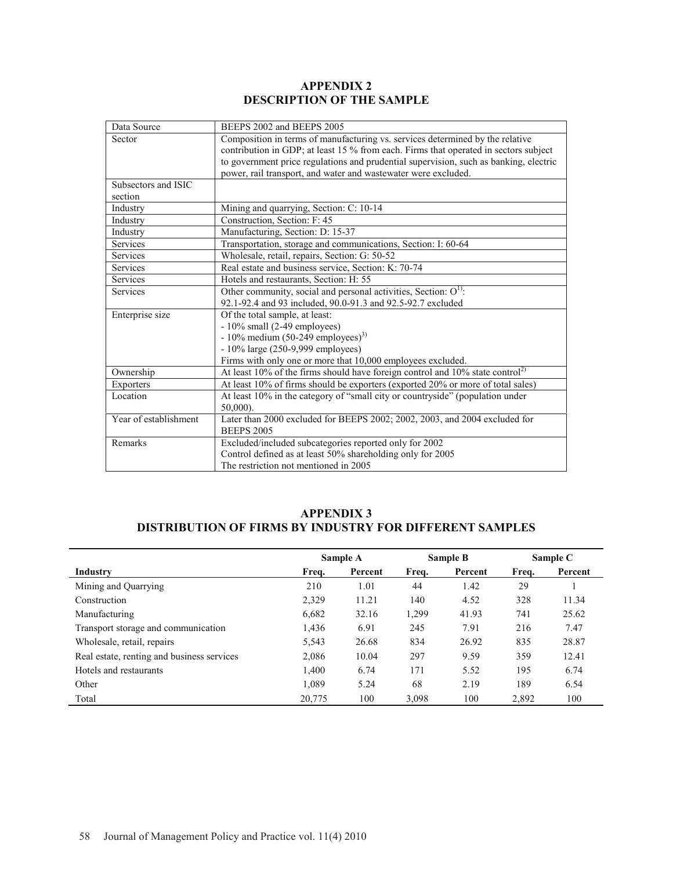## **APPENDIX 2 DESCRIPTION OF THE SAMPLE**

| Data Source           | BEEPS 2002 and BEEPS 2005                                                                    |
|-----------------------|----------------------------------------------------------------------------------------------|
| Sector                | Composition in terms of manufacturing vs. services determined by the relative                |
|                       | contribution in GDP; at least 15 % from each. Firms that operated in sectors subject         |
|                       | to government price regulations and prudential supervision, such as banking, electric        |
|                       | power, rail transport, and water and wastewater were excluded.                               |
| Subsectors and ISIC   |                                                                                              |
| section               |                                                                                              |
| Industry              | Mining and quarrying, Section: C: 10-14                                                      |
| Industry              | Construction, Section: F: 45                                                                 |
| Industry              | Manufacturing, Section: D: 15-37                                                             |
| Services              | Transportation, storage and communications, Section: I: 60-64                                |
| Services              | Wholesale, retail, repairs, Section: G: 50-52                                                |
| <b>Services</b>       | Real estate and business service, Section: K: 70-74                                          |
| Services              | Hotels and restaurants, Section: H: 55                                                       |
| Services              | Other community, social and personal activities, Section: $O^{1}$ :                          |
|                       | 92.1-92.4 and 93 included, 90.0-91.3 and 92.5-92.7 excluded                                  |
| Enterprise size       | Of the total sample, at least:                                                               |
|                       | $-10\%$ small (2-49 employees)                                                               |
|                       | $-10\%$ medium (50-249 employees) <sup>3)</sup>                                              |
|                       | - 10% large (250-9,999 employees)                                                            |
|                       | Firms with only one or more that 10,000 employees excluded.                                  |
| Ownership             | At least 10% of the firms should have foreign control and $10\%$ state control <sup>2)</sup> |
| <b>Exporters</b>      | At least 10% of firms should be exporters (exported 20% or more of total sales)              |
| Location              | At least 10% in the category of "small city or countryside" (population under                |
|                       | $50,000$ ).                                                                                  |
| Year of establishment | Later than 2000 excluded for BEEPS 2002; 2002, 2003, and 2004 excluded for                   |
|                       | <b>BEEPS 2005</b>                                                                            |
| Remarks               | Excluded/included subcategories reported only for 2002                                       |
|                       | Control defined as at least 50% shareholding only for 2005                                   |
|                       | The restriction not mentioned in 2005                                                        |

# **APPENDIX 3 DISTRIBUTION OF FIRMS BY INDUSTRY FOR DIFFERENT SAMPLES**

|                                            |        | Sample A |       | Sample B | Sample C |         |
|--------------------------------------------|--------|----------|-------|----------|----------|---------|
| Industry                                   | Freq.  | Percent  | Freq. | Percent  | Freq.    | Percent |
| Mining and Quarrying                       | 210    | 1.01     | 44    | 1.42     | 29       |         |
| Construction                               | 2,329  | 11.21    | 140   | 4.52     | 328      | 11.34   |
| Manufacturing                              | 6,682  | 32.16    | 1,299 | 41.93    | 741      | 25.62   |
| Transport storage and communication        | 1,436  | 6.91     | 245   | 7.91     | 216      | 7.47    |
| Wholesale, retail, repairs                 | 5,543  | 26.68    | 834   | 26.92    | 835      | 28.87   |
| Real estate, renting and business services | 2,086  | 10.04    | 297   | 9.59     | 359      | 12.41   |
| Hotels and restaurants                     | 1,400  | 6.74     | 171   | 5.52     | 195      | 6.74    |
| Other                                      | 1,089  | 5.24     | 68    | 2.19     | 189      | 6.54    |
| Total                                      | 20,775 | 100      | 3,098 | 100      | 2,892    | 100     |